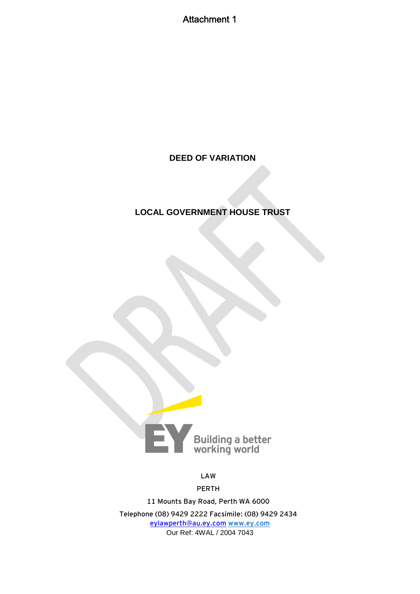Attachment 1

## **DEED OF VARIATION**

# **LOCAL GOVERNMENT HOUSE TRUST**



**LAW** 

**PERTH**

**11 Mounts Bay Road, Perth WA 6000 Telephone (08) 9429 2222 Facsimile: (08) 9429 2434 [eylawperth@au.ey.com](mailto:eylawperth@au.ey.com) [www.ey.com](http://www.ey.com/)** Our Ref: 4WAL / 2004 7043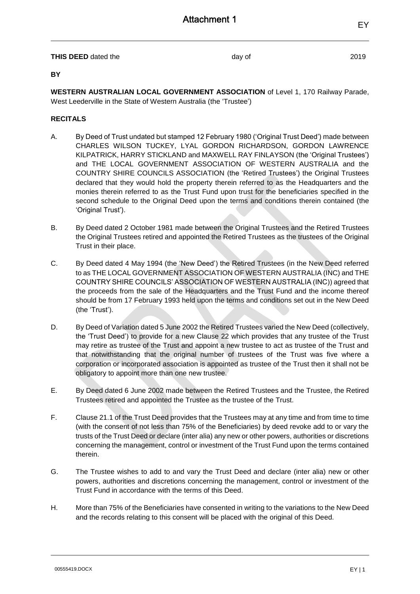therein.

powers, authorities and discretions concerning the management, control or investment of the Trust Fund in accordance with the terms of this Deed.

H. More than 75% of the Beneficiaries have consented in writing to the variations to the New Deed and the records relating to this consent will be placed with the original of this Deed.

D. By Deed of Variation dated 5 June 2002 the Retired Trustees varied the New Deed (collectively, the 'Trust Deed') to provide for a new Clause 22 which provides that any trustee of the Trust may retire as trustee of the Trust and appoint a new trustee to act as trustee of the Trust and that notwithstanding that the original number of trustees of the Trust was five where a

E. By Deed dated 6 June 2002 made between the Retired Trustees and the Trustee, the Retired

F. Clause 21.1 of the Trust Deed provides that the Trustees may at any time and from time to time

Trustees retired and appointed the Trustee as the trustee of the Trust.

obligatory to appoint more than one new trustee.

corporation or incorporated association is appointed as trustee of the Trust then it shall not be

(with the consent of not less than 75% of the Beneficiaries) by deed revoke add to or vary the trusts of the Trust Deed or declare (inter alia) any new or other powers, authorities or discretions concerning the management, control or investment of the Trust Fund upon the terms contained

- to as THE LOCAL GOVERNMENT ASSOCIATION OF WESTERN AUSTRALIA (INC) and THE COUNTRY SHIRE COUNCILS' ASSOCIATION OF WESTERN AUSTRALIA (INC)) agreed that the proceeds from the sale of the Headquarters and the Trust Fund and the income thereof should be from 17 February 1993 held upon the terms and conditions set out in the New Deed (the 'Trust').
- the Original Trustees retired and appointed the Retired Trustees as the trustees of the Original Trust in their place. C. By Deed dated 4 May 1994 (the 'New Deed') the Retired Trustees (in the New Deed referred

B. By Deed dated 2 October 1981 made between the Original Trustees and the Retired Trustees

- West Leederville in the State of Western Australia (the 'Trustee')
- **RECITALS**

<span id="page-1-0"></span>A. By Deed of Trust undated but stamped 12 February 1980 ('Original Trust Deed') made between

CHARLES WILSON TUCKEY, LYAL GORDON RICHARDSON, GORDON LAWRENCE KILPATRICK, HARRY STICKLAND and MAXWELL RAY FINLAYSON (the 'Original Trustees') and THE LOCAL GOVERNMENT ASSOCIATION OF WESTERN AUSTRALIA and the COUNTRY SHIRE COUNCILS ASSOCIATION (the 'Retired Trustees') the Original Trustees declared that they would hold the property therein referred to as the Headquarters and the monies therein referred to as the Trust Fund upon trust for the beneficiaries specified in the second schedule to the Original Deed upon the terms and conditions therein contained (the

**WESTERN AUSTRALIAN LOCAL GOVERNMENT ASSOCIATION** of Level 1, 170 Railway Parade,

**BY**

'Original Trust').

**THIS DEED** dated the day of **2019** 

EY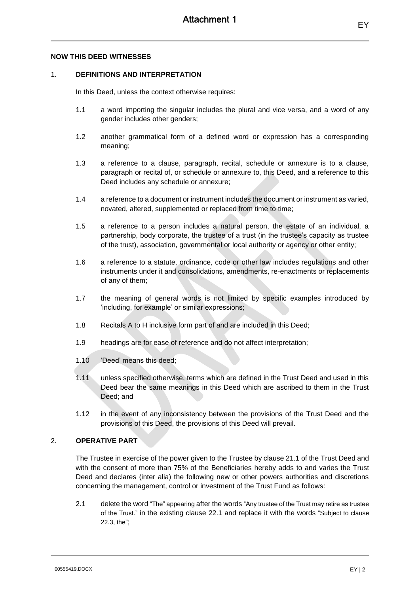#### **NOW THIS DEED WITNESSES**

## 1. **DEFINITIONS AND INTERPRETATION**

In this Deed, unless the context otherwise requires:

- 1.1 a word importing the singular includes the plural and vice versa, and a word of any gender includes other genders;
- 1.2 another grammatical form of a defined word or expression has a corresponding meaning;
- 1.3 a reference to a clause, paragraph, recital, schedule or annexure is to a clause, paragraph or recital of, or schedule or annexure to, this Deed, and a reference to this Deed includes any schedule or annexure;
- 1.4 a reference to a document or instrument includes the document or instrument as varied, novated, altered, supplemented or replaced from time to time;
- 1.5 a reference to a person includes a natural person, the estate of an individual, a partnership, body corporate, the trustee of a trust (in the trustee's capacity as trustee of the trust), association, governmental or local authority or agency or other entity;
- 1.6 a reference to a statute, ordinance, code or other law includes regulations and other instruments under it and consolidations, amendments, re-enactments or replacements of any of them;
- 1.7 the meaning of general words is not limited by specific examples introduced by 'including, for example' or similar expressions;
- 1.8 Recitals [A](#page-1-0) to H inclusive form part of and are included in this Deed;
- 1.9 headings are for ease of reference and do not affect interpretation;
- 1.10 'Deed' means this deed;
- 1.11 unless specified otherwise, terms which are defined in the Trust Deed and used in this Deed bear the same meanings in this Deed which are ascribed to them in the Trust Deed; and
- 1.12 in the event of any inconsistency between the provisions of the Trust Deed and the provisions of this Deed, the provisions of this Deed will prevail.

#### 2. **OPERATIVE PART**

The Trustee in exercise of the power given to the Trustee by clause 21.1 of the Trust Deed and with the consent of more than 75% of the Beneficiaries hereby adds to and varies the Trust Deed and declares (inter alia) the following new or other powers authorities and discretions concerning the management, control or investment of the Trust Fund as follows:

2.1 delete the word "The" appearing after the words "Any trustee of the Trust may retire as trustee of the Trust." in the existing clause 22.1 and replace it with the words "Subject to clause 22.3, the";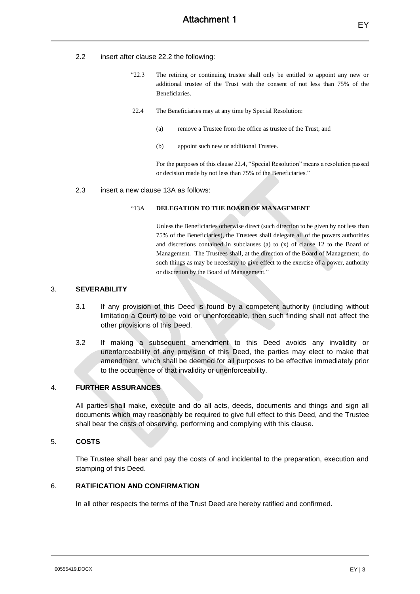#### 2.2 insert after clause 22.2 the following:

- "22.3 The retiring or continuing trustee shall only be entitled to appoint any new or additional trustee of the Trust with the consent of not less than 75% of the Beneficiaries.
- 22.4 The Beneficiaries may at any time by Special Resolution:
	- (a) remove a Trustee from the office as trustee of the Trust; and
	- (b) appoint such new or additional Trustee.

For the purposes of this clause 22.4, "Special Resolution" means a resolution passed or decision made by not less than 75% of the Beneficiaries."

#### 2.3 insert a new clause 13A as follows:

#### "13A **DELEGATION TO THE BOARD OF MANAGEMENT**

Unless the Beneficiaries otherwise direct (such direction to be given by not less than 75% of the Beneficiaries), the Trustees shall delegate all of the powers authorities and discretions contained in subclauses (a) to (x) of clause 12 to the Board of Management. The Trustees shall, at the direction of the Board of Management, do such things as may be necessary to give effect to the exercise of a power, authority or discretion by the Board of Management."

## 3. **SEVERABILITY**

- 3.1 If any provision of this Deed is found by a competent authority (including without limitation a Court) to be void or unenforceable, then such finding shall not affect the other provisions of this Deed.
- 3.2 If making a subsequent amendment to this Deed avoids any invalidity or unenforceability of any provision of this Deed, the parties may elect to make that amendment, which shall be deemed for all purposes to be effective immediately prior to the occurrence of that invalidity or unenforceability.

### 4. **FURTHER ASSURANCES**

All parties shall make, execute and do all acts, deeds, documents and things and sign all documents which may reasonably be required to give full effect to this Deed, and the Trustee shall bear the costs of observing, performing and complying with this clause.

#### 5. **COSTS**

The Trustee shall bear and pay the costs of and incidental to the preparation, execution and stamping of this Deed.

## 6. **RATIFICATION AND CONFIRMATION**

In all other respects the terms of the Trust Deed are hereby ratified and confirmed.